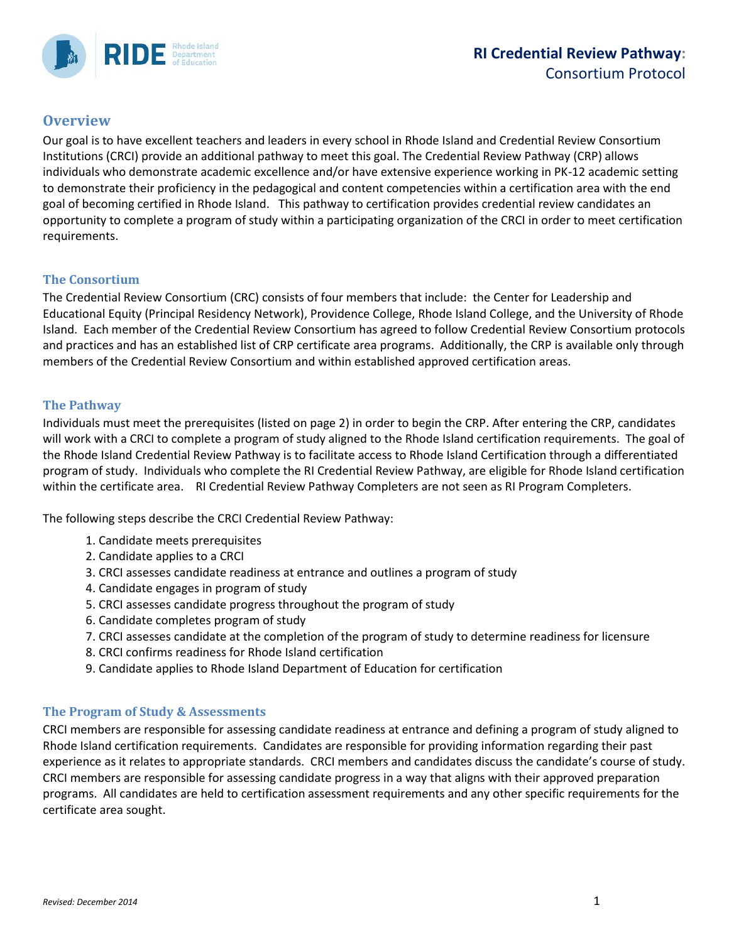

**RIDE** Separtment

Our goal is to have excellent teachers and leaders in every school in Rhode Island and Credential Review Consortium Institutions (CRCI) provide an additional pathway to meet this goal. The Credential Review Pathway (CRP) allows individuals who demonstrate academic excellence and/or have extensive experience working in PK-12 academic setting to demonstrate their proficiency in the pedagogical and content competencies within a certification area with the end goal of becoming certified in Rhode Island. This pathway to certification provides credential review candidates an opportunity to complete a program of study within a participating organization of the CRCI in order to meet certification requirements.

#### **The Consortium**

The Credential Review Consortium (CRC) consists of four members that include: the Center for Leadership and Educational Equity (Principal Residency Network), Providence College, Rhode Island College, and the University of Rhode Island. Each member of the Credential Review Consortium has agreed to follow Credential Review Consortium protocols and practices and has an established list of CRP certificate area programs. Additionally, the CRP is available only through members of the Credential Review Consortium and within established approved certification areas.

#### **The Pathway**

Individuals must meet the prerequisites (listed on page 2) in order to begin the CRP. After entering the CRP, candidates will work with a CRCI to complete a program of study aligned to the Rhode Island certification requirements. The goal of the Rhode Island Credential Review Pathway is to facilitate access to Rhode Island Certification through a differentiated program of study. Individuals who complete the RI Credential Review Pathway, are eligible for Rhode Island certification within the certificate area. RI Credential Review Pathway Completers are not seen as RI Program Completers.

The following steps describe the CRCI Credential Review Pathway:

- 1. Candidate meets prerequisites
- 2. Candidate applies to a CRCI
- 3. CRCI assesses candidate readiness at entrance and outlines a program of study
- 4. Candidate engages in program of study
- 5. CRCI assesses candidate progress throughout the program of study
- 6. Candidate completes program of study
- 7. CRCI assesses candidate at the completion of the program of study to determine readiness for licensure
- 8. CRCI confirms readiness for Rhode Island certification
- 9. Candidate applies to Rhode Island Department of Education for certification

#### **The Program of Study & Assessments**

CRCI members are responsible for assessing candidate readiness at entrance and defining a program of study aligned to Rhode Island certification requirements. Candidates are responsible for providing information regarding their past experience as it relates to appropriate standards. CRCI members and candidates discuss the candidate's course of study. CRCI members are responsible for assessing candidate progress in a way that aligns with their approved preparation programs. All candidates are held to certification assessment requirements and any other specific requirements for the certificate area sought.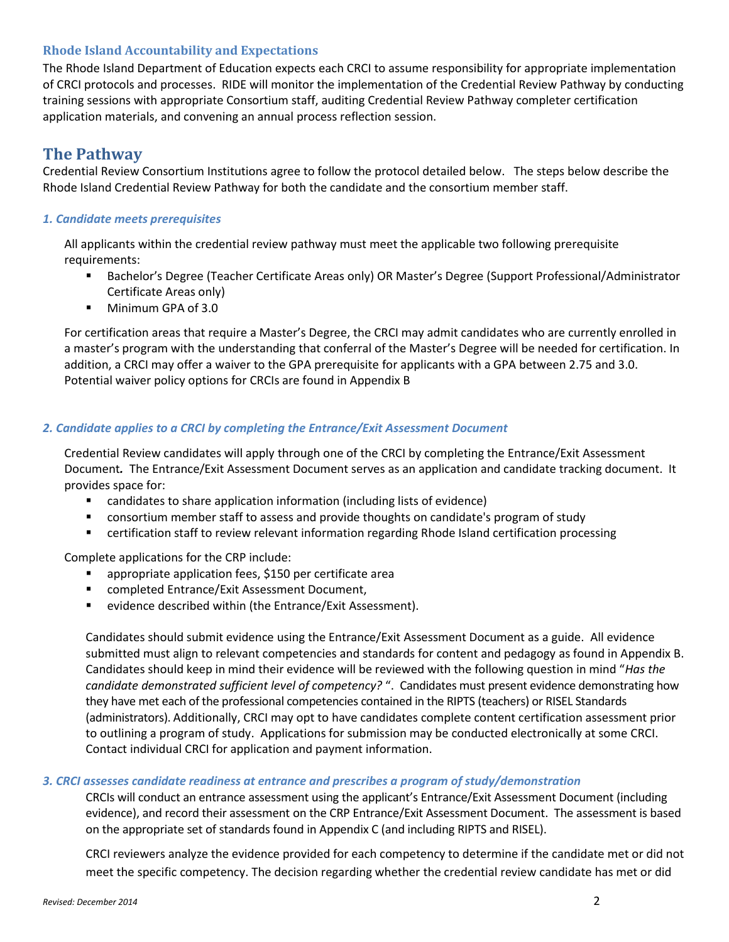#### **Rhode Island Accountability and Expectations**

The Rhode Island Department of Education expects each CRCI to assume responsibility for appropriate implementation of CRCI protocols and processes. RIDE will monitor the implementation of the Credential Review Pathway by conducting training sessions with appropriate Consortium staff, auditing Credential Review Pathway completer certification application materials, and convening an annual process reflection session.

### **The Pathway**

Credential Review Consortium Institutions agree to follow the protocol detailed below. The steps below describe the Rhode Island Credential Review Pathway for both the candidate and the consortium member staff.

#### *1. Candidate meets prerequisites*

All applicants within the credential review pathway must meet the applicable two following prerequisite requirements:

- Bachelor's Degree (Teacher Certificate Areas only) OR Master's Degree (Support Professional/Administrator Certificate Areas only)
- Minimum GPA of 3.0

For certification areas that require a Master's Degree, the CRCI may admit candidates who are currently enrolled in a master's program with the understanding that conferral of the Master's Degree will be needed for certification. In addition, a CRCI may offer a waiver to the GPA prerequisite for applicants with a GPA between 2.75 and 3.0. Potential waiver policy options for CRCIs are found in Appendix B

#### *2. Candidate applies to a CRCI by completing the Entrance/Exit Assessment Document*

Credential Review candidates will apply through one of the CRCI by completing the Entrance/Exit Assessment Document*.* The Entrance/Exit Assessment Document serves as an application and candidate tracking document. It provides space for:

- candidates to share application information (including lists of evidence)
- consortium member staff to assess and provide thoughts on candidate's program of study
- certification staff to review relevant information regarding Rhode Island certification processing

Complete applications for the CRP include:

- appropriate application fees, \$150 per certificate area
- completed Entrance/Exit Assessment Document,
- evidence described within (the Entrance/Exit Assessment).

Candidates should submit evidence using the Entrance/Exit Assessment Document as a guide. All evidence submitted must align to relevant competencies and standards for content and pedagogy as found in Appendix B. Candidates should keep in mind their evidence will be reviewed with the following question in mind "*Has the candidate demonstrated sufficient level of competency?* ". Candidates must present evidence demonstrating how they have met each of the professional competencies contained in the RIPTS (teachers) or RISEL Standards (administrators). Additionally, CRCI may opt to have candidates complete content certification assessment prior to outlining a program of study. Applications for submission may be conducted electronically at some CRCI. Contact individual CRCI for application and payment information.

#### *3. CRCI assesses candidate readiness at entrance and prescribes a program of study/demonstration*

CRCIs will conduct an entrance assessment using the applicant's Entrance/Exit Assessment Document (including evidence), and record their assessment on the CRP Entrance/Exit Assessment Document. The assessment is based on the appropriate set of standards found in Appendix C (and including RIPTS and RISEL).

CRCI reviewers analyze the evidence provided for each competency to determine if the candidate met or did not meet the specific competency. The decision regarding whether the credential review candidate has met or did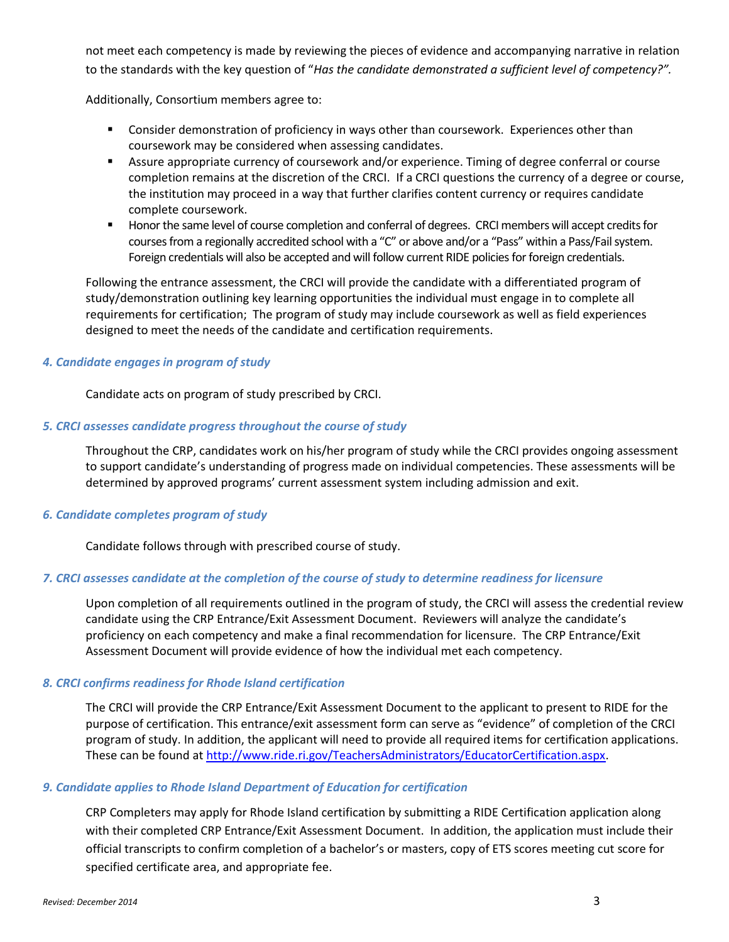not meet each competency is made by reviewing the pieces of evidence and accompanying narrative in relation to the standards with the key question of "*Has the candidate demonstrated a sufficient level of competency?".* 

Additionally, Consortium members agree to:

- **Consider demonstration of proficiency in ways other than coursework. Experiences other than** coursework may be considered when assessing candidates.
- Assure appropriate currency of coursework and/or experience. Timing of degree conferral or course completion remains at the discretion of the CRCI. If a CRCI questions the currency of a degree or course, the institution may proceed in a way that further clarifies content currency or requires candidate complete coursework.
- **Honor the same level of course completion and conferral of degrees. CRCI members will accept credits for** courses from a regionally accredited school with a "C" or above and/or a "Pass" within a Pass/Fail system. Foreign credentials will also be accepted and will follow current RIDE policies for foreign credentials.

Following the entrance assessment, the CRCI will provide the candidate with a differentiated program of study/demonstration outlining key learning opportunities the individual must engage in to complete all requirements for certification; The program of study may include coursework as well as field experiences designed to meet the needs of the candidate and certification requirements.

#### *4. Candidate engages in program of study*

Candidate acts on program of study prescribed by CRCI.

#### *5. CRCI assesses candidate progress throughout the course of study*

Throughout the CRP, candidates work on his/her program of study while the CRCI provides ongoing assessment to support candidate's understanding of progress made on individual competencies. These assessments will be determined by approved programs' current assessment system including admission and exit.

#### *6. Candidate completes program of study*

Candidate follows through with prescribed course of study.

#### *7. CRCI assesses candidate at the completion of the course of study to determine readiness for licensure*

Upon completion of all requirements outlined in the program of study, the CRCI will assess the credential review candidate using the CRP Entrance/Exit Assessment Document. Reviewers will analyze the candidate's proficiency on each competency and make a final recommendation for licensure. The CRP Entrance/Exit Assessment Document will provide evidence of how the individual met each competency.

#### *8. CRCI confirms readiness for Rhode Island certification*

The CRCI will provide the CRP Entrance/Exit Assessment Document to the applicant to present to RIDE for the purpose of certification. This entrance/exit assessment form can serve as "evidence" of completion of the CRCI program of study. In addition, the applicant will need to provide all required items for certification applications. These can be found at [http://www.ride.ri.gov/TeachersAdministrators/EducatorCertification.aspx.](http://www.tesol.org/docs/books/the-revised-tesol-ncate-standards-for-the-recognition-of-initial-tesol-programs-in-p-12-esl-teacher-education-(2010-pdf).pdf)

#### *9. Candidate applies to Rhode Island Department of Education for certification*

CRP Completers may apply for Rhode Island certification by submitting a RIDE Certification application along with their completed CRP Entrance/Exit Assessment Document. In addition, the application must include their official transcripts to confirm completion of a bachelor's or masters, copy of ETS scores meeting cut score for specified certificate area, and appropriate fee.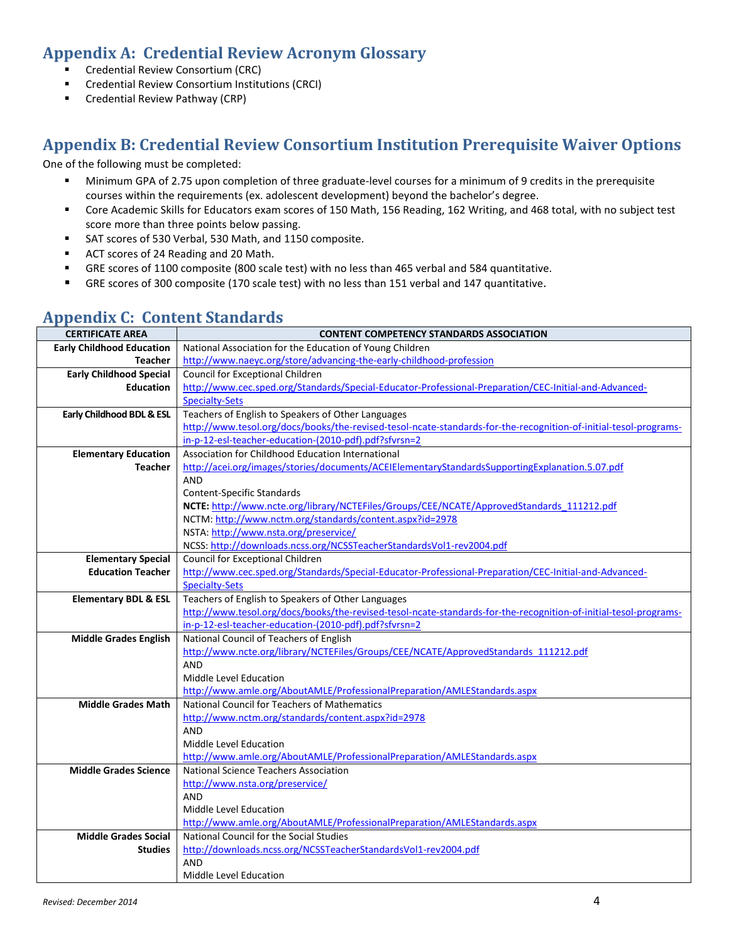## **Appendix A: Credential Review Acronym Glossary**

- Credential Review Consortium (CRC)
- **E** Credential Review Consortium Institutions (CRCI)
- **EXECTED EXECTED FIGHTS** Credential Review Pathway (CRP)

## **Appendix B: Credential Review Consortium Institution Prerequisite Waiver Options**

One of the following must be completed:

- Minimum GPA of 2.75 upon completion of three graduate-level courses for a minimum of 9 credits in the prerequisite courses within the requirements (ex. adolescent development) beyond the bachelor's degree.
- Core Academic Skills for Educators exam scores of 150 Math, 156 Reading, 162 Writing, and 468 total, with no subject test score more than three points below passing.
- SAT scores of 530 Verbal, 530 Math, and 1150 composite.
- ACT scores of 24 Reading and 20 Math.
- GRE scores of 1100 composite (800 scale test) with no less than 465 verbal and 584 quantitative.
- GRE scores of 300 composite (170 scale test) with no less than 151 verbal and 147 quantitative.

| <b>CERTIFICATE AREA</b>          | <b>CONTENT COMPETENCY STANDARDS ASSOCIATION</b>                                                                          |  |  |  |  |  |
|----------------------------------|--------------------------------------------------------------------------------------------------------------------------|--|--|--|--|--|
| <b>Early Childhood Education</b> | National Association for the Education of Young Children                                                                 |  |  |  |  |  |
| Teacher                          | http://www.naeyc.org/store/advancing-the-early-childhood-profession                                                      |  |  |  |  |  |
| <b>Early Childhood Special</b>   | Council for Exceptional Children                                                                                         |  |  |  |  |  |
| <b>Education</b>                 | http://www.cec.sped.org/Standards/Special-Educator-Professional-Preparation/CEC-Initial-and-Advanced-                    |  |  |  |  |  |
|                                  | <b>Specialty-Sets</b>                                                                                                    |  |  |  |  |  |
| Early Childhood BDL & ESL        | Teachers of English to Speakers of Other Languages                                                                       |  |  |  |  |  |
|                                  | http://www.tesol.org/docs/books/the-revised-tesol-ncate-standards-for-the-recognition-of-initial-tesol-programs-         |  |  |  |  |  |
|                                  | in-p-12-esl-teacher-education-(2010-pdf).pdf?sfvrsn=2                                                                    |  |  |  |  |  |
| <b>Elementary Education</b>      | Association for Childhood Education International                                                                        |  |  |  |  |  |
| <b>Teacher</b>                   | http://acei.org/images/stories/documents/ACEIElementaryStandardsSupportingExplanation.5.07.pdf                           |  |  |  |  |  |
|                                  | <b>AND</b>                                                                                                               |  |  |  |  |  |
|                                  | <b>Content-Specific Standards</b>                                                                                        |  |  |  |  |  |
|                                  | NCTE: http://www.ncte.org/library/NCTEFiles/Groups/CEE/NCATE/ApprovedStandards 111212.pdf                                |  |  |  |  |  |
|                                  | NCTM: http://www.nctm.org/standards/content.aspx?id=2978                                                                 |  |  |  |  |  |
|                                  | NSTA: http://www.nsta.org/preservice/                                                                                    |  |  |  |  |  |
|                                  | NCSS: http://downloads.ncss.org/NCSSTeacherStandardsVol1-rev2004.pdf                                                     |  |  |  |  |  |
| <b>Elementary Special</b>        | Council for Exceptional Children                                                                                         |  |  |  |  |  |
| <b>Education Teacher</b>         | http://www.cec.sped.org/Standards/Special-Educator-Professional-Preparation/CEC-Initial-and-Advanced-                    |  |  |  |  |  |
|                                  | <b>Specialty-Sets</b>                                                                                                    |  |  |  |  |  |
| <b>Elementary BDL &amp; ESL</b>  | Teachers of English to Speakers of Other Languages                                                                       |  |  |  |  |  |
|                                  | http://www.tesol.org/docs/books/the-revised-tesol-ncate-standards-for-the-recognition-of-initial-tesol-programs-         |  |  |  |  |  |
|                                  | in-p-12-esl-teacher-education-(2010-pdf).pdf?sfvrsn=2                                                                    |  |  |  |  |  |
| <b>Middle Grades English</b>     | National Council of Teachers of English                                                                                  |  |  |  |  |  |
|                                  | http://www.ncte.org/library/NCTEFiles/Groups/CEE/NCATE/ApprovedStandards 111212.pdf                                      |  |  |  |  |  |
|                                  | <b>AND</b>                                                                                                               |  |  |  |  |  |
|                                  | Middle Level Education                                                                                                   |  |  |  |  |  |
|                                  | http://www.amle.org/AboutAMLE/ProfessionalPreparation/AMLEStandards.aspx<br>National Council for Teachers of Mathematics |  |  |  |  |  |
| <b>Middle Grades Math</b>        | http://www.nctm.org/standards/content.aspx?id=2978                                                                       |  |  |  |  |  |
|                                  | AND                                                                                                                      |  |  |  |  |  |
|                                  | Middle Level Education                                                                                                   |  |  |  |  |  |
|                                  | http://www.amle.org/AboutAMLE/ProfessionalPreparation/AMLEStandards.aspx                                                 |  |  |  |  |  |
| <b>Middle Grades Science</b>     | National Science Teachers Association                                                                                    |  |  |  |  |  |
|                                  | http://www.nsta.org/preservice/                                                                                          |  |  |  |  |  |
|                                  | <b>AND</b>                                                                                                               |  |  |  |  |  |
|                                  | Middle Level Education                                                                                                   |  |  |  |  |  |
|                                  | http://www.amle.org/AboutAMLE/ProfessionalPreparation/AMLEStandards.aspx                                                 |  |  |  |  |  |
| <b>Middle Grades Social</b>      | National Council for the Social Studies                                                                                  |  |  |  |  |  |
| <b>Studies</b>                   | http://downloads.ncss.org/NCSSTeacherStandardsVol1-rev2004.pdf                                                           |  |  |  |  |  |
|                                  | <b>AND</b>                                                                                                               |  |  |  |  |  |
|                                  | Middle Level Education                                                                                                   |  |  |  |  |  |

## **Appendix C: Content Standards**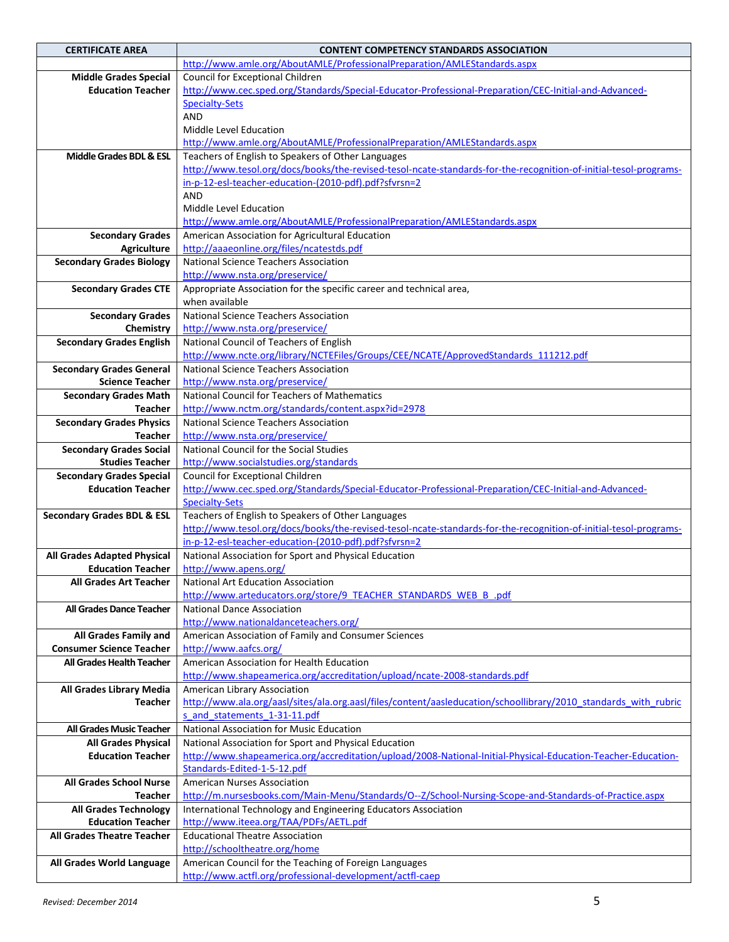| <b>CERTIFICATE AREA</b>               | <b>CONTENT COMPETENCY STANDARDS ASSOCIATION</b>                                                                  |  |  |  |
|---------------------------------------|------------------------------------------------------------------------------------------------------------------|--|--|--|
|                                       | http://www.amle.org/AboutAMLE/ProfessionalPreparation/AMLEStandards.aspx                                         |  |  |  |
| <b>Middle Grades Special</b>          | Council for Exceptional Children                                                                                 |  |  |  |
| <b>Education Teacher</b>              | http://www.cec.sped.org/Standards/Special-Educator-Professional-Preparation/CEC-Initial-and-Advanced-            |  |  |  |
|                                       | <b>Specialty-Sets</b>                                                                                            |  |  |  |
|                                       | AND                                                                                                              |  |  |  |
|                                       | Middle Level Education                                                                                           |  |  |  |
|                                       | http://www.amle.org/AboutAMLE/ProfessionalPreparation/AMLEStandards.aspx                                         |  |  |  |
| <b>Middle Grades BDL &amp; ESL</b>    | Teachers of English to Speakers of Other Languages                                                               |  |  |  |
|                                       | http://www.tesol.org/docs/books/the-revised-tesol-ncate-standards-for-the-recognition-of-initial-tesol-programs- |  |  |  |
|                                       | in-p-12-esl-teacher-education-(2010-pdf).pdf?sfvrsn=2                                                            |  |  |  |
|                                       | <b>AND</b>                                                                                                       |  |  |  |
|                                       | Middle Level Education                                                                                           |  |  |  |
|                                       | http://www.amle.org/AboutAMLE/ProfessionalPreparation/AMLEStandards.aspx                                         |  |  |  |
| <b>Secondary Grades</b>               | American Association for Agricultural Education                                                                  |  |  |  |
|                                       | http://aaaeonline.org/files/ncatestds.pdf                                                                        |  |  |  |
| <b>Agriculture</b>                    | <b>National Science Teachers Association</b>                                                                     |  |  |  |
| <b>Secondary Grades Biology</b>       | http://www.nsta.org/preservice/                                                                                  |  |  |  |
|                                       |                                                                                                                  |  |  |  |
| <b>Secondary Grades CTE</b>           | Appropriate Association for the specific career and technical area,                                              |  |  |  |
|                                       | when available                                                                                                   |  |  |  |
| <b>Secondary Grades</b>               | <b>National Science Teachers Association</b>                                                                     |  |  |  |
| Chemistry                             | http://www.nsta.org/preservice/                                                                                  |  |  |  |
| <b>Secondary Grades English</b>       | National Council of Teachers of English                                                                          |  |  |  |
|                                       | http://www.ncte.org/library/NCTEFiles/Groups/CEE/NCATE/ApprovedStandards 111212.pdf                              |  |  |  |
| <b>Secondary Grades General</b>       | National Science Teachers Association                                                                            |  |  |  |
| <b>Science Teacher</b>                | http://www.nsta.org/preservice/                                                                                  |  |  |  |
| <b>Secondary Grades Math</b>          | National Council for Teachers of Mathematics                                                                     |  |  |  |
| Teacher                               | http://www.nctm.org/standards/content.aspx?id=2978                                                               |  |  |  |
| <b>Secondary Grades Physics</b>       | National Science Teachers Association                                                                            |  |  |  |
| <b>Teacher</b>                        | http://www.nsta.org/preservice/                                                                                  |  |  |  |
| <b>Secondary Grades Social</b>        | National Council for the Social Studies                                                                          |  |  |  |
| <b>Studies Teacher</b>                | http://www.socialstudies.org/standards                                                                           |  |  |  |
| <b>Secondary Grades Special</b>       | Council for Exceptional Children                                                                                 |  |  |  |
| <b>Education Teacher</b>              | http://www.cec.sped.org/Standards/Special-Educator-Professional-Preparation/CEC-Initial-and-Advanced-            |  |  |  |
|                                       | <b>Specialty-Sets</b>                                                                                            |  |  |  |
| <b>Secondary Grades BDL &amp; ESL</b> | Teachers of English to Speakers of Other Languages                                                               |  |  |  |
|                                       | http://www.tesol.org/docs/books/the-revised-tesol-ncate-standards-for-the-recognition-of-initial-tesol-programs- |  |  |  |
|                                       | in-p-12-esl-teacher-education-(2010-pdf).pdf?sfvrsn=2                                                            |  |  |  |
| All Grades Adapted Physical           | National Association for Sport and Physical Education                                                            |  |  |  |
| <b>Education Teacher</b>              | http://www.apens.org/                                                                                            |  |  |  |
| <b>All Grades Art Teacher</b>         | <b>National Art Education Association</b>                                                                        |  |  |  |
|                                       | http://www.arteducators.org/store/9_TEACHER_STANDARDS_WEB_B_.pdf                                                 |  |  |  |
| All Grades Dance Teacher              | <b>National Dance Association</b>                                                                                |  |  |  |
|                                       | http://www.nationaldanceteachers.org/                                                                            |  |  |  |
| All Grades Family and                 | American Association of Family and Consumer Sciences                                                             |  |  |  |
| <b>Consumer Science Teacher</b>       | http://www.aafcs.org/                                                                                            |  |  |  |
| <b>All Grades Health Teacher</b>      | American Association for Health Education                                                                        |  |  |  |
|                                       | http://www.shapeamerica.org/accreditation/upload/ncate-2008-standards.pdf                                        |  |  |  |
| All Grades Library Media              | American Library Association                                                                                     |  |  |  |
| Teacher                               | http://www.ala.org/aasl/sites/ala.org.aasl/files/content/aasleducation/schoollibrary/2010 standards with rubric  |  |  |  |
|                                       | s and statements 1-31-11.pdf                                                                                     |  |  |  |
| <b>All Grades Music Teacher</b>       | National Association for Music Education                                                                         |  |  |  |
| <b>All Grades Physical</b>            | National Association for Sport and Physical Education                                                            |  |  |  |
| <b>Education Teacher</b>              | http://www.shapeamerica.org/accreditation/upload/2008-National-Initial-Physical-Education-Teacher-Education-     |  |  |  |
|                                       | Standards-Edited-1-5-12.pdf                                                                                      |  |  |  |
| All Grades School Nurse               | <b>American Nurses Association</b>                                                                               |  |  |  |
| <b>Teacher</b>                        | http://m.nursesbooks.com/Main-Menu/Standards/O--Z/School-Nursing-Scope-and-Standards-of-Practice.aspx            |  |  |  |
| <b>All Grades Technology</b>          | International Technology and Engineering Educators Association                                                   |  |  |  |
| <b>Education Teacher</b>              | http://www.iteea.org/TAA/PDFs/AETL.pdf                                                                           |  |  |  |
| <b>All Grades Theatre Teacher</b>     | <b>Educational Theatre Association</b>                                                                           |  |  |  |
|                                       | http://schooltheatre.org/home                                                                                    |  |  |  |
| All Grades World Language             | American Council for the Teaching of Foreign Languages                                                           |  |  |  |
|                                       | http://www.actfl.org/professional-development/actfl-caep                                                         |  |  |  |
|                                       |                                                                                                                  |  |  |  |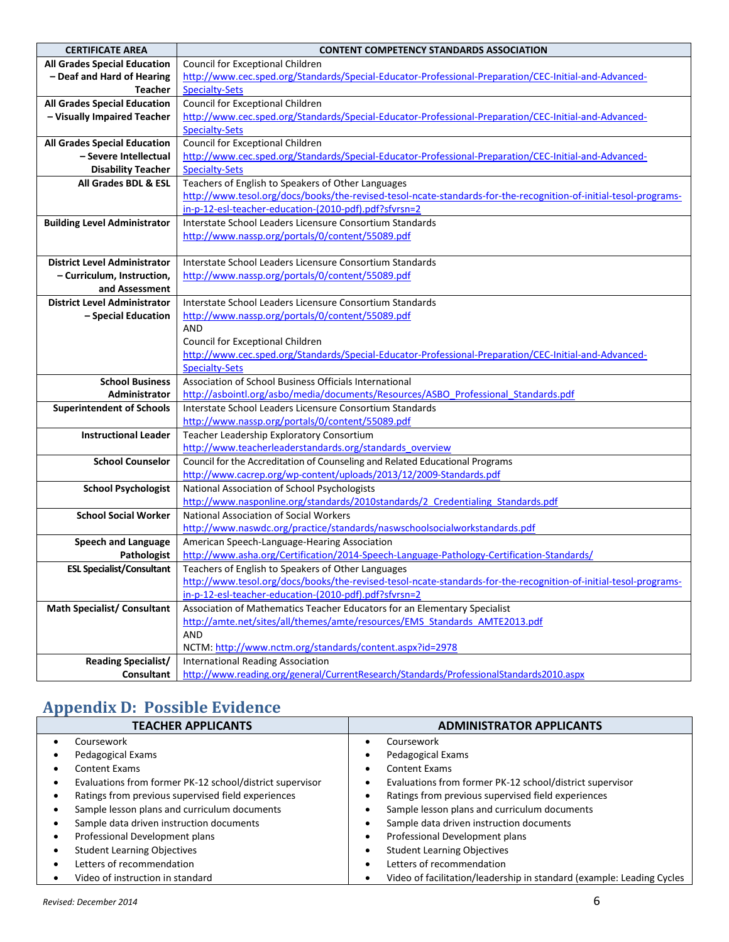| <b>CERTIFICATE AREA</b>             | <b>CONTENT COMPETENCY STANDARDS ASSOCIATION</b>                                                                  |  |  |  |  |
|-------------------------------------|------------------------------------------------------------------------------------------------------------------|--|--|--|--|
| <b>All Grades Special Education</b> | Council for Exceptional Children                                                                                 |  |  |  |  |
| - Deaf and Hard of Hearing          | http://www.cec.sped.org/Standards/Special-Educator-Professional-Preparation/CEC-Initial-and-Advanced-            |  |  |  |  |
| <b>Teacher</b>                      | <b>Specialty-Sets</b>                                                                                            |  |  |  |  |
| <b>All Grades Special Education</b> | Council for Exceptional Children                                                                                 |  |  |  |  |
| - Visually Impaired Teacher         | http://www.cec.sped.org/Standards/Special-Educator-Professional-Preparation/CEC-Initial-and-Advanced-            |  |  |  |  |
|                                     | <b>Specialty-Sets</b>                                                                                            |  |  |  |  |
| <b>All Grades Special Education</b> | Council for Exceptional Children                                                                                 |  |  |  |  |
| - Severe Intellectual               | http://www.cec.sped.org/Standards/Special-Educator-Professional-Preparation/CEC-Initial-and-Advanced-            |  |  |  |  |
| <b>Disability Teacher</b>           | <b>Specialty-Sets</b>                                                                                            |  |  |  |  |
| All Grades BDL & ESL                | Teachers of English to Speakers of Other Languages                                                               |  |  |  |  |
|                                     | http://www.tesol.org/docs/books/the-revised-tesol-ncate-standards-for-the-recognition-of-initial-tesol-programs- |  |  |  |  |
|                                     | in-p-12-esl-teacher-education-(2010-pdf).pdf?sfvrsn=2                                                            |  |  |  |  |
| <b>Building Level Administrator</b> | Interstate School Leaders Licensure Consortium Standards                                                         |  |  |  |  |
|                                     | http://www.nassp.org/portals/0/content/55089.pdf                                                                 |  |  |  |  |
|                                     |                                                                                                                  |  |  |  |  |
| <b>District Level Administrator</b> | Interstate School Leaders Licensure Consortium Standards                                                         |  |  |  |  |
| - Curriculum, Instruction,          | http://www.nassp.org/portals/0/content/55089.pdf                                                                 |  |  |  |  |
| and Assessment                      |                                                                                                                  |  |  |  |  |
| <b>District Level Administrator</b> | Interstate School Leaders Licensure Consortium Standards                                                         |  |  |  |  |
| - Special Education                 | http://www.nassp.org/portals/0/content/55089.pdf                                                                 |  |  |  |  |
|                                     | AND                                                                                                              |  |  |  |  |
|                                     | Council for Exceptional Children                                                                                 |  |  |  |  |
|                                     | http://www.cec.sped.org/Standards/Special-Educator-Professional-Preparation/CEC-Initial-and-Advanced-            |  |  |  |  |
|                                     | <b>Specialty-Sets</b>                                                                                            |  |  |  |  |
| <b>School Business</b>              | Association of School Business Officials International                                                           |  |  |  |  |
| Administrator                       | http://asbointl.org/asbo/media/documents/Resources/ASBO Professional Standards.pdf                               |  |  |  |  |
| <b>Superintendent of Schools</b>    | Interstate School Leaders Licensure Consortium Standards                                                         |  |  |  |  |
|                                     | http://www.nassp.org/portals/0/content/55089.pdf                                                                 |  |  |  |  |
| <b>Instructional Leader</b>         | Teacher Leadership Exploratory Consortium                                                                        |  |  |  |  |
|                                     | http://www.teacherleaderstandards.org/standards_overview                                                         |  |  |  |  |
| <b>School Counselor</b>             | Council for the Accreditation of Counseling and Related Educational Programs                                     |  |  |  |  |
|                                     | http://www.cacrep.org/wp-content/uploads/2013/12/2009-Standards.pdf                                              |  |  |  |  |
| <b>School Psychologist</b>          | National Association of School Psychologists                                                                     |  |  |  |  |
|                                     | http://www.nasponline.org/standards/2010standards/2 Credentialing Standards.pdf                                  |  |  |  |  |
| <b>School Social Worker</b>         | National Association of Social Workers                                                                           |  |  |  |  |
|                                     | http://www.naswdc.org/practice/standards/naswschoolsocialworkstandards.pdf                                       |  |  |  |  |
| <b>Speech and Language</b>          | American Speech-Language-Hearing Association                                                                     |  |  |  |  |
| Pathologist                         | http://www.asha.org/Certification/2014-Speech-Language-Pathology-Certification-Standards/                        |  |  |  |  |
| <b>ESL Specialist/Consultant</b>    | Teachers of English to Speakers of Other Languages                                                               |  |  |  |  |
|                                     | http://www.tesol.org/docs/books/the-revised-tesol-ncate-standards-for-the-recognition-of-initial-tesol-programs- |  |  |  |  |
|                                     | in-p-12-esl-teacher-education-(2010-pdf).pdf?sfvrsn=2                                                            |  |  |  |  |
| <b>Math Specialist/Consultant</b>   | Association of Mathematics Teacher Educators for an Elementary Specialist                                        |  |  |  |  |
|                                     | http://amte.net/sites/all/themes/amte/resources/EMS Standards AMTE2013.pdf                                       |  |  |  |  |
|                                     | AND                                                                                                              |  |  |  |  |
|                                     | NCTM: http://www.nctm.org/standards/content.aspx?id=2978                                                         |  |  |  |  |
| <b>Reading Specialist/</b>          | <b>International Reading Association</b>                                                                         |  |  |  |  |
| <b>Consultant</b>                   | http://www.reading.org/general/CurrentResearch/Standards/ProfessionalStandards2010.aspx                          |  |  |  |  |

# **Appendix D: Possible Evidence**

| <b>TEACHER APPLICANTS</b> |                                                          |   | <b>ADMINISTRATOR APPLICANTS</b>                                       |  |  |
|---------------------------|----------------------------------------------------------|---|-----------------------------------------------------------------------|--|--|
|                           | Coursework                                               |   | Coursework                                                            |  |  |
|                           | Pedagogical Exams                                        |   | Pedagogical Exams                                                     |  |  |
|                           | Content Exams                                            |   | <b>Content Exams</b>                                                  |  |  |
| ٠                         | Evaluations from former PK-12 school/district supervisor |   | Evaluations from former PK-12 school/district supervisor              |  |  |
|                           | Ratings from previous supervised field experiences       |   | Ratings from previous supervised field experiences                    |  |  |
|                           | Sample lesson plans and curriculum documents             |   | Sample lesson plans and curriculum documents                          |  |  |
|                           | Sample data driven instruction documents                 |   | Sample data driven instruction documents                              |  |  |
| ٠                         | Professional Development plans                           | ٠ | Professional Development plans                                        |  |  |
|                           | <b>Student Learning Objectives</b>                       | ٠ | <b>Student Learning Objectives</b>                                    |  |  |
| ٠                         | Letters of recommendation                                | ٠ | Letters of recommendation                                             |  |  |
|                           | Video of instruction in standard                         |   | Video of facilitation/leadership in standard (example: Leading Cycles |  |  |